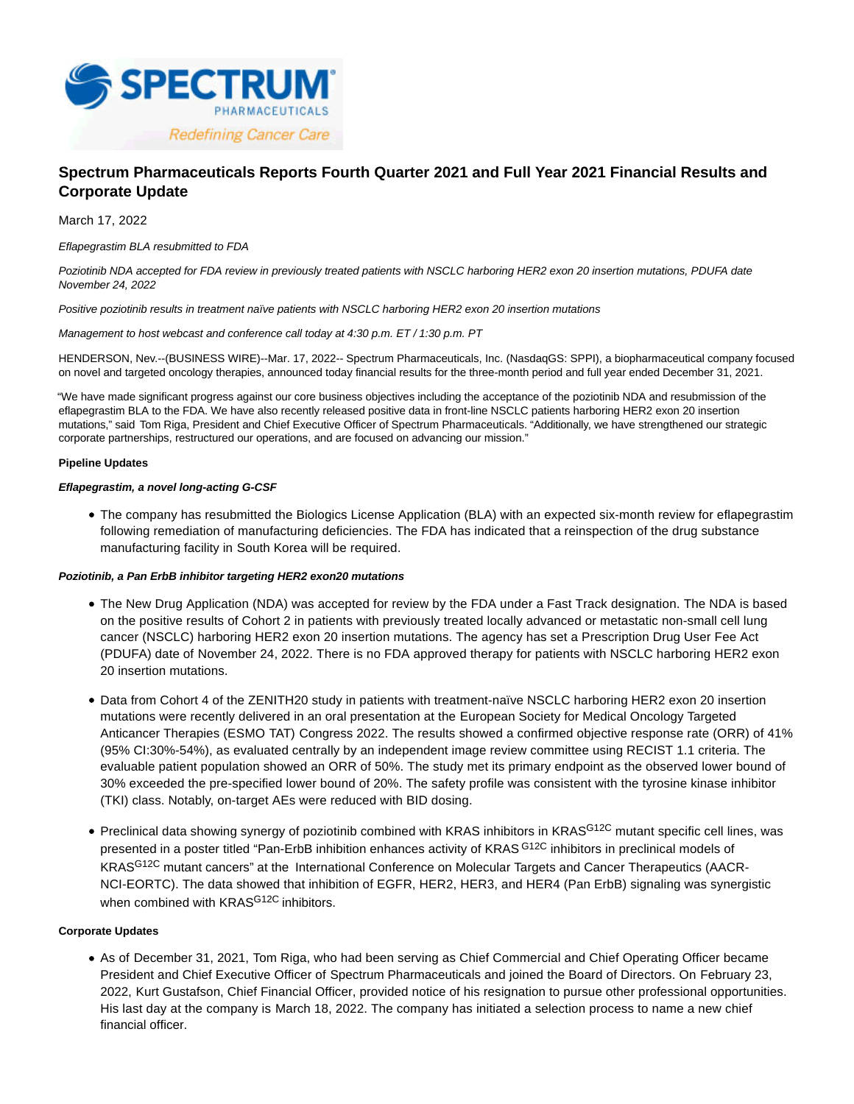

# **Spectrum Pharmaceuticals Reports Fourth Quarter 2021 and Full Year 2021 Financial Results and Corporate Update**

March 17, 2022

Eflapegrastim BLA resubmitted to FDA

Poziotinib NDA accepted for FDA review in previously treated patients with NSCLC harboring HER2 exon 20 insertion mutations, PDUFA date November 24, 2022

Positive poziotinib results in treatment naïve patients with NSCLC harboring HER2 exon 20 insertion mutations

Management to host webcast and conference call today at 4:30 p.m. ET / 1:30 p.m. PT

HENDERSON, Nev.--(BUSINESS WIRE)--Mar. 17, 2022-- Spectrum Pharmaceuticals, Inc. (NasdaqGS: SPPI), a biopharmaceutical company focused on novel and targeted oncology therapies, announced today financial results for the three-month period and full year ended December 31, 2021.

"We have made significant progress against our core business objectives including the acceptance of the poziotinib NDA and resubmission of the eflapegrastim BLA to the FDA. We have also recently released positive data in front-line NSCLC patients harboring HER2 exon 20 insertion mutations," said Tom Riga, President and Chief Executive Officer of Spectrum Pharmaceuticals. "Additionally, we have strengthened our strategic corporate partnerships, restructured our operations, and are focused on advancing our mission."

# **Pipeline Updates**

# **Eflapegrastim, a novel long-acting G-CSF**

The company has resubmitted the Biologics License Application (BLA) with an expected six-month review for eflapegrastim following remediation of manufacturing deficiencies. The FDA has indicated that a reinspection of the drug substance manufacturing facility in South Korea will be required.

# **Poziotinib, a Pan ErbB inhibitor targeting HER2 exon20 mutations**

- The New Drug Application (NDA) was accepted for review by the FDA under a Fast Track designation. The NDA is based on the positive results of Cohort 2 in patients with previously treated locally advanced or metastatic non-small cell lung cancer (NSCLC) harboring HER2 exon 20 insertion mutations. The agency has set a Prescription Drug User Fee Act (PDUFA) date of November 24, 2022. There is no FDA approved therapy for patients with NSCLC harboring HER2 exon 20 insertion mutations.
- Data from Cohort 4 of the ZENITH20 study in patients with treatment-naïve NSCLC harboring HER2 exon 20 insertion mutations were recently delivered in an oral presentation at the European Society for Medical Oncology Targeted Anticancer Therapies (ESMO TAT) Congress 2022. The results showed a confirmed objective response rate (ORR) of 41% (95% CI:30%-54%), as evaluated centrally by an independent image review committee using RECIST 1.1 criteria. The evaluable patient population showed an ORR of 50%. The study met its primary endpoint as the observed lower bound of 30% exceeded the pre-specified lower bound of 20%. The safety profile was consistent with the tyrosine kinase inhibitor (TKI) class. Notably, on-target AEs were reduced with BID dosing.
- Preclinical data showing synergy of poziotinib combined with KRAS inhibitors in KRAS<sup>G12C</sup> mutant specific cell lines, was presented in a poster titled "Pan-ErbB inhibition enhances activity of KRAS G12C inhibitors in preclinical models of KRASG12C mutant cancers" at the International Conference on Molecular Targets and Cancer Therapeutics (AACR-NCI-EORTC). The data showed that inhibition of EGFR, HER2, HER3, and HER4 (Pan ErbB) signaling was synergistic when combined with KRAS<sup>G12C</sup> inhibitors.

# **Corporate Updates**

As of December 31, 2021, Tom Riga, who had been serving as Chief Commercial and Chief Operating Officer became President and Chief Executive Officer of Spectrum Pharmaceuticals and joined the Board of Directors. On February 23, 2022, Kurt Gustafson, Chief Financial Officer, provided notice of his resignation to pursue other professional opportunities. His last day at the company is March 18, 2022. The company has initiated a selection process to name a new chief financial officer.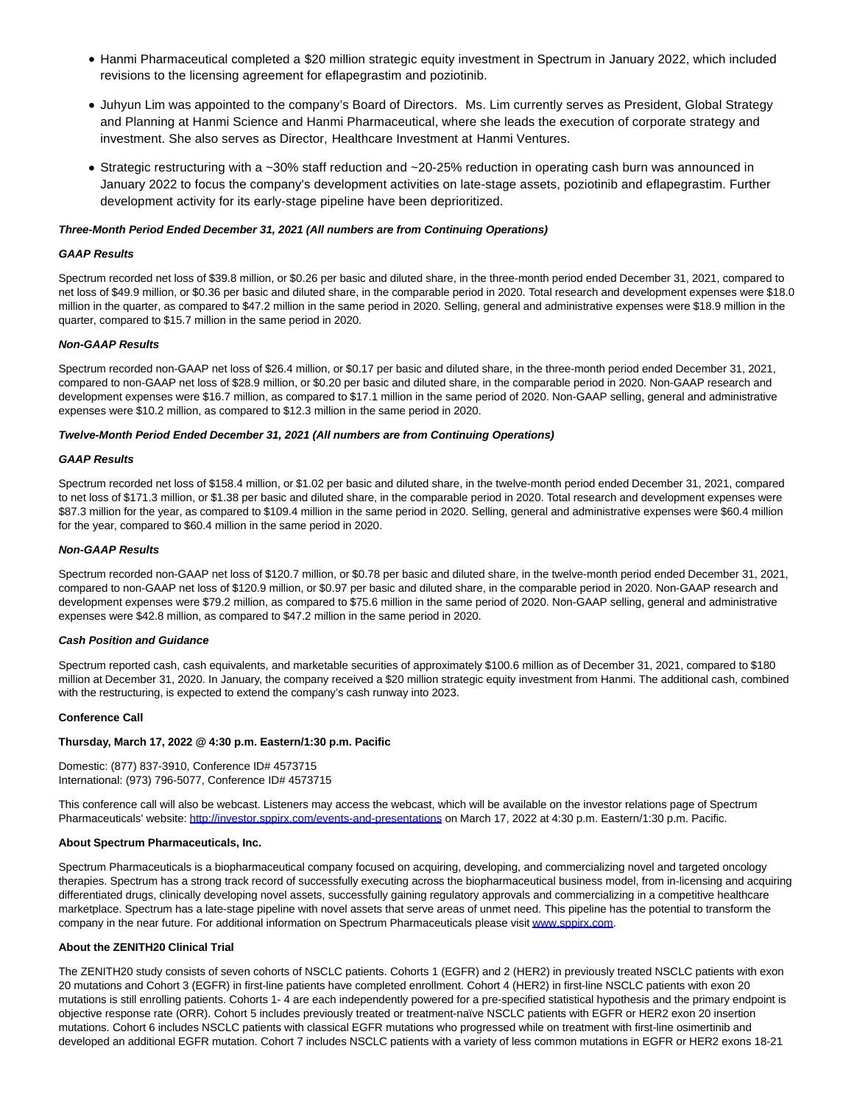- Hanmi Pharmaceutical completed a \$20 million strategic equity investment in Spectrum in January 2022, which included revisions to the licensing agreement for eflapegrastim and poziotinib.
- Juhyun Lim was appointed to the company's Board of Directors. Ms. Lim currently serves as President, Global Strategy and Planning at Hanmi Science and Hanmi Pharmaceutical, where she leads the execution of corporate strategy and investment. She also serves as Director, Healthcare Investment at Hanmi Ventures.
- Strategic restructuring with a ~30% staff reduction and ~20-25% reduction in operating cash burn was announced in January 2022 to focus the company's development activities on late-stage assets, poziotinib and eflapegrastim. Further development activity for its early-stage pipeline have been deprioritized.

### **Three-Month Period Ended December 31, 2021 (All numbers are from Continuing Operations)**

### **GAAP Results**

Spectrum recorded net loss of \$39.8 million, or \$0.26 per basic and diluted share, in the three-month period ended December 31, 2021, compared to net loss of \$49.9 million, or \$0.36 per basic and diluted share, in the comparable period in 2020. Total research and development expenses were \$18.0 million in the quarter, as compared to \$47.2 million in the same period in 2020. Selling, general and administrative expenses were \$18.9 million in the quarter, compared to \$15.7 million in the same period in 2020.

### **Non-GAAP Results**

Spectrum recorded non-GAAP net loss of \$26.4 million, or \$0.17 per basic and diluted share, in the three-month period ended December 31, 2021, compared to non-GAAP net loss of \$28.9 million, or \$0.20 per basic and diluted share, in the comparable period in 2020. Non-GAAP research and development expenses were \$16.7 million, as compared to \$17.1 million in the same period of 2020. Non-GAAP selling, general and administrative expenses were \$10.2 million, as compared to \$12.3 million in the same period in 2020.

# **Twelve-Month Period Ended December 31, 2021 (All numbers are from Continuing Operations)**

#### **GAAP Results**

Spectrum recorded net loss of \$158.4 million, or \$1.02 per basic and diluted share, in the twelve-month period ended December 31, 2021, compared to net loss of \$171.3 million, or \$1.38 per basic and diluted share, in the comparable period in 2020. Total research and development expenses were \$87.3 million for the year, as compared to \$109.4 million in the same period in 2020. Selling, general and administrative expenses were \$60.4 million for the year, compared to \$60.4 million in the same period in 2020.

#### **Non-GAAP Results**

Spectrum recorded non-GAAP net loss of \$120.7 million, or \$0.78 per basic and diluted share, in the twelve-month period ended December 31, 2021, compared to non-GAAP net loss of \$120.9 million, or \$0.97 per basic and diluted share, in the comparable period in 2020. Non-GAAP research and development expenses were \$79.2 million, as compared to \$75.6 million in the same period of 2020. Non-GAAP selling, general and administrative expenses were \$42.8 million, as compared to \$47.2 million in the same period in 2020.

#### **Cash Position and Guidance**

Spectrum reported cash, cash equivalents, and marketable securities of approximately \$100.6 million as of December 31, 2021, compared to \$180 million at December 31, 2020. In January, the company received a \$20 million strategic equity investment from Hanmi. The additional cash, combined with the restructuring, is expected to extend the company's cash runway into 2023.

#### **Conference Call**

### **Thursday, March 17, 2022 @ 4:30 p.m. Eastern/1:30 p.m. Pacific**

Domestic: (877) 837-3910, Conference ID# 4573715 International: (973) 796-5077, Conference ID# 4573715

This conference call will also be webcast. Listeners may access the webcast, which will be available on the investor relations page of Spectrum Pharmaceuticals' website[: http://investor.sppirx.com/events-and-presentations o](https://cts.businesswire.com/ct/CT?id=smartlink&url=http%3A%2F%2Finvestor.sppirx.com%2Fevents-and-presentations&esheet=52603607&newsitemid=20220317005872&lan=en-US&anchor=http%3A%2F%2Finvestor.sppirx.com%2Fevents-and-presentations&index=1&md5=81151396ed961685d9b85b38da446967)n March 17, 2022 at 4:30 p.m. Eastern/1:30 p.m. Pacific.

#### **About Spectrum Pharmaceuticals, Inc.**

Spectrum Pharmaceuticals is a biopharmaceutical company focused on acquiring, developing, and commercializing novel and targeted oncology therapies. Spectrum has a strong track record of successfully executing across the biopharmaceutical business model, from in-licensing and acquiring differentiated drugs, clinically developing novel assets, successfully gaining regulatory approvals and commercializing in a competitive healthcare marketplace. Spectrum has a late-stage pipeline with novel assets that serve areas of unmet need. This pipeline has the potential to transform the company in the near future. For additional information on Spectrum Pharmaceuticals please visit [www.sppirx.com.](https://cts.businesswire.com/ct/CT?id=smartlink&url=http%3A%2F%2Fwww.sppirx.com&esheet=52603607&newsitemid=20220317005872&lan=en-US&anchor=www.sppirx.com&index=2&md5=38e4c40caab073b569bdb78794748035)

# **About the ZENITH20 Clinical Trial**

The ZENITH20 study consists of seven cohorts of NSCLC patients. Cohorts 1 (EGFR) and 2 (HER2) in previously treated NSCLC patients with exon 20 mutations and Cohort 3 (EGFR) in first-line patients have completed enrollment. Cohort 4 (HER2) in first-line NSCLC patients with exon 20 mutations is still enrolling patients. Cohorts 1- 4 are each independently powered for a pre-specified statistical hypothesis and the primary endpoint is objective response rate (ORR). Cohort 5 includes previously treated or treatment-naïve NSCLC patients with EGFR or HER2 exon 20 insertion mutations. Cohort 6 includes NSCLC patients with classical EGFR mutations who progressed while on treatment with first-line osimertinib and developed an additional EGFR mutation. Cohort 7 includes NSCLC patients with a variety of less common mutations in EGFR or HER2 exons 18-21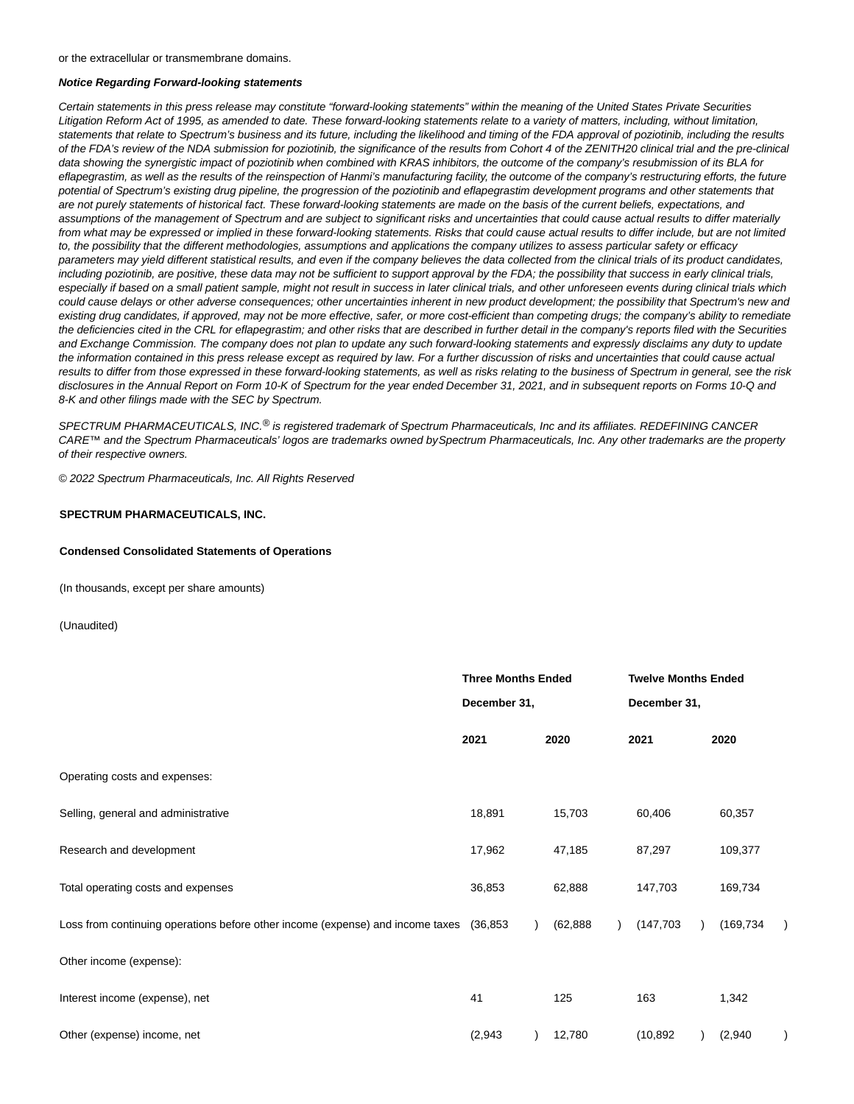or the extracellular or transmembrane domains.

### **Notice Regarding Forward-looking statements**

Certain statements in this press release may constitute "forward-looking statements" within the meaning of the United States Private Securities Litigation Reform Act of 1995, as amended to date. These forward-looking statements relate to a variety of matters, including, without limitation, statements that relate to Spectrum's business and its future, including the likelihood and timing of the FDA approval of poziotinib, including the results of the FDA's review of the NDA submission for poziotinib, the significance of the results from Cohort 4 of the ZENITH20 clinical trial and the pre-clinical data showing the synergistic impact of poziotinib when combined with KRAS inhibitors, the outcome of the company's resubmission of its BLA for eflapegrastim, as well as the results of the reinspection of Hanmi's manufacturing facility, the outcome of the company's restructuring efforts, the future potential of Spectrum's existing drug pipeline, the progression of the poziotinib and eflapegrastim development programs and other statements that are not purely statements of historical fact. These forward-looking statements are made on the basis of the current beliefs, expectations, and assumptions of the management of Spectrum and are subject to significant risks and uncertainties that could cause actual results to differ materially from what may be expressed or implied in these forward-looking statements. Risks that could cause actual results to differ include, but are not limited to, the possibility that the different methodologies, assumptions and applications the company utilizes to assess particular safety or efficacy parameters may yield different statistical results, and even if the company believes the data collected from the clinical trials of its product candidates, including poziotinib, are positive, these data may not be sufficient to support approval by the FDA; the possibility that success in early clinical trials, especially if based on a small patient sample, might not result in success in later clinical trials, and other unforeseen events during clinical trials which could cause delays or other adverse consequences; other uncertainties inherent in new product development; the possibility that Spectrum's new and existing drug candidates, if approved, may not be more effective, safer, or more cost-efficient than competing drugs; the company's ability to remediate the deficiencies cited in the CRL for eflapegrastim; and other risks that are described in further detail in the company's reports filed with the Securities and Exchange Commission. The company does not plan to update any such forward-looking statements and expressly disclaims any duty to update the information contained in this press release except as required by law. For a further discussion of risks and uncertainties that could cause actual results to differ from those expressed in these forward-looking statements, as well as risks relating to the business of Spectrum in general, see the risk disclosures in the Annual Report on Form 10-K of Spectrum for the year ended December 31, 2021, and in subsequent reports on Forms 10-Q and 8-K and other filings made with the SEC by Spectrum.

SPECTRUM PHARMACEUTICALS, INC.<sup>®</sup> is registered trademark of Spectrum Pharmaceuticals, Inc and its affiliates. REDEFINING CANCER CARE™ and the Spectrum Pharmaceuticals' logos are trademarks owned by Spectrum Pharmaceuticals, Inc. Any other trademarks are the property of their respective owners.

© 2022 Spectrum Pharmaceuticals, Inc. All Rights Reserved

### **SPECTRUM PHARMACEUTICALS, INC.**

#### **Condensed Consolidated Statements of Operations**

(In thousands, except per share amounts)

(Unaudited)

|                                                                                        | <b>Three Months Ended</b><br>December 31, |  |           | <b>Twelve Months Ended</b> |  |            |  |
|----------------------------------------------------------------------------------------|-------------------------------------------|--|-----------|----------------------------|--|------------|--|
|                                                                                        |                                           |  |           | December 31,               |  |            |  |
|                                                                                        | 2021                                      |  | 2020      | 2021                       |  | 2020       |  |
| Operating costs and expenses:                                                          |                                           |  |           |                            |  |            |  |
| Selling, general and administrative                                                    | 18,891                                    |  | 15,703    | 60,406                     |  | 60,357     |  |
| Research and development                                                               | 17,962                                    |  | 47,185    | 87,297                     |  | 109,377    |  |
| Total operating costs and expenses                                                     | 36,853                                    |  | 62,888    | 147,703                    |  | 169,734    |  |
| Loss from continuing operations before other income (expense) and income taxes (36,853 |                                           |  | (62, 888) | (147, 703)                 |  | (169, 734) |  |
| Other income (expense):                                                                |                                           |  |           |                            |  |            |  |
| Interest income (expense), net                                                         | 41                                        |  | 125       | 163                        |  | 1,342      |  |
| Other (expense) income, net                                                            | (2,943)                                   |  | 12,780    | (10, 892)                  |  | (2,940)    |  |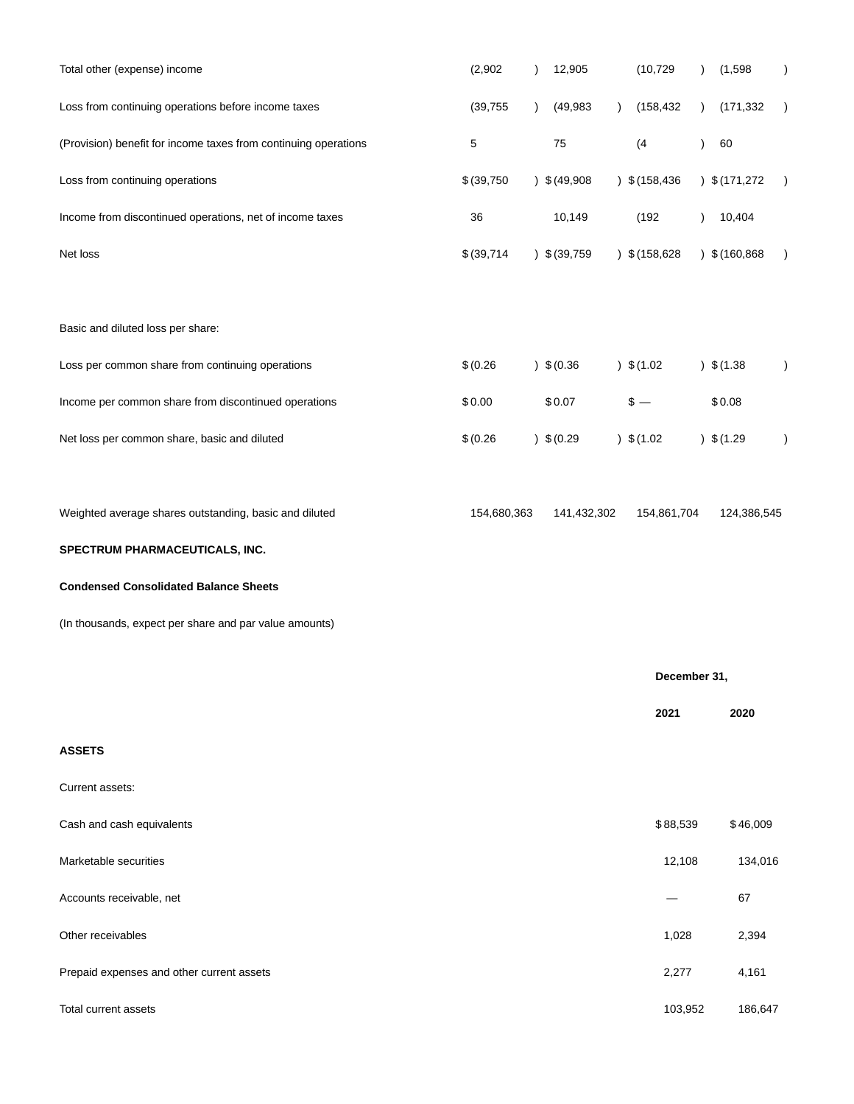| Total other (expense) income                                    | (2,902)     | 12,905<br>$\lambda$    | (10, 729)                 | (1,598)          |
|-----------------------------------------------------------------|-------------|------------------------|---------------------------|------------------|
| Loss from continuing operations before income taxes             | (39, 755)   | (49, 983)<br>$\lambda$ | (158, 432)<br>$\lambda$   | (171, 332)       |
| (Provision) benefit for income taxes from continuing operations | 5           | 75                     | (4)                       | 60               |
| Loss from continuing operations                                 | \$ (39,750) | 9.908                  | \$(158, 436)<br>$\lambda$ | 9(171,272)       |
| Income from discontinued operations, net of income taxes        | 36          | 10,149                 | (192)                     | 10,404           |
| Net loss                                                        | \$ (39,714) | $)$ \$ (39,759         | $)$ \$ (158,628           | $)$ \$ (160,868) |
| Basic and diluted loss per share:                               |             |                        |                           |                  |
| Loss per common share from continuing operations                | \$(0.26)    | $)$ \$ (0.36           | $)$ \$ (1.02              | $)$ \$ (1.38     |
| Income per common share from discontinued operations            | \$0.00      | \$0.07                 | $$ -$                     | \$0.08           |
| Net loss per common share, basic and diluted                    | \$(0.26)    | $)$ \$ (0.29           | $)$ \$(1.02)              | $)$ \$(1.29      |
| Weighted average shares outstanding, basic and diluted          | 154,680,363 | 141,432,302            | 154,861,704               | 124,386,545      |
| SPECTRUM PHARMACEUTICALS, INC.                                  |             |                        |                           |                  |
| <b>Condensed Consolidated Balance Sheets</b>                    |             |                        |                           |                  |
| (In thousands, expect per share and par value amounts)          |             |                        |                           |                  |
|                                                                 |             |                        | December 31,              |                  |
|                                                                 |             |                        | 2021                      | 2020             |
| <b>ASSETS</b>                                                   |             |                        |                           |                  |
| Current assets:                                                 |             |                        |                           |                  |
| Cash and cash equivalents                                       |             |                        | \$88,539                  | \$46,009         |
| Marketable securities                                           |             |                        | 12,108                    | 134,016          |
| Accounts receivable, net                                        |             |                        |                           | 67               |
| Other receivables                                               |             |                        | 1,028                     | 2,394            |
| Prepaid expenses and other current assets                       |             |                        | 2,277                     | 4,161            |
| Total current assets                                            |             |                        | 103,952                   | 186,647          |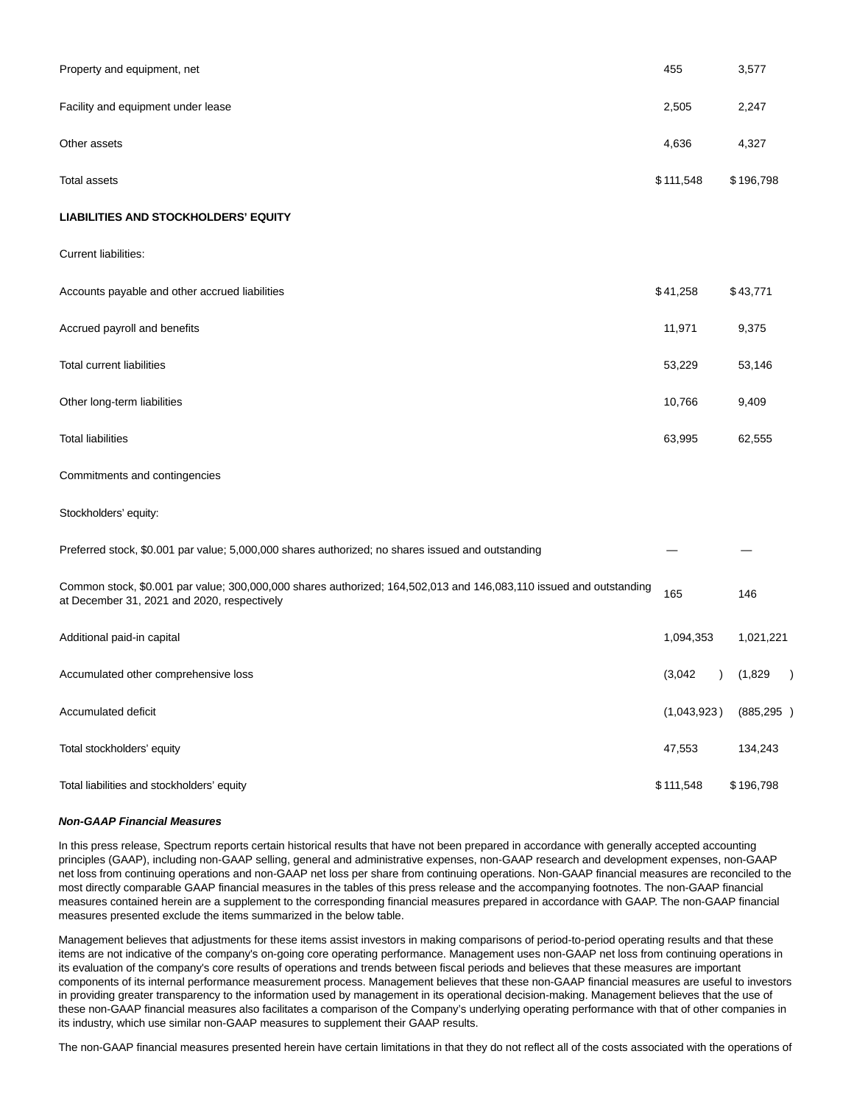| Property and equipment, net                                                                                                                                       | 455         | 3,577      |
|-------------------------------------------------------------------------------------------------------------------------------------------------------------------|-------------|------------|
| Facility and equipment under lease                                                                                                                                | 2,505       | 2,247      |
| Other assets                                                                                                                                                      | 4,636       | 4,327      |
| <b>Total assets</b>                                                                                                                                               | \$111,548   | \$196,798  |
| <b>LIABILITIES AND STOCKHOLDERS' EQUITY</b>                                                                                                                       |             |            |
| Current liabilities:                                                                                                                                              |             |            |
| Accounts payable and other accrued liabilities                                                                                                                    | \$41,258    | \$43,771   |
| Accrued payroll and benefits                                                                                                                                      | 11,971      | 9,375      |
| <b>Total current liabilities</b>                                                                                                                                  | 53,229      | 53,146     |
| Other long-term liabilities                                                                                                                                       | 10,766      | 9,409      |
| <b>Total liabilities</b>                                                                                                                                          | 63,995      | 62,555     |
| Commitments and contingencies                                                                                                                                     |             |            |
| Stockholders' equity:                                                                                                                                             |             |            |
| Preferred stock, \$0.001 par value; 5,000,000 shares authorized; no shares issued and outstanding                                                                 |             |            |
| Common stock, \$0.001 par value; 300,000,000 shares authorized; 164,502,013 and 146,083,110 issued and outstanding<br>at December 31, 2021 and 2020, respectively | 165         | 146        |
| Additional paid-in capital                                                                                                                                        | 1,094,353   | 1,021,221  |
| Accumulated other comprehensive loss                                                                                                                              | (3,042)     | ) (1,829   |
| Accumulated deficit                                                                                                                                               | (1,043,923) | (885, 295) |
| Total stockholders' equity                                                                                                                                        | 47,553      | 134,243    |
| Total liabilities and stockholders' equity                                                                                                                        | \$111,548   | \$196,798  |

# **Non-GAAP Financial Measures**

In this press release, Spectrum reports certain historical results that have not been prepared in accordance with generally accepted accounting principles (GAAP), including non-GAAP selling, general and administrative expenses, non-GAAP research and development expenses, non-GAAP net loss from continuing operations and non-GAAP net loss per share from continuing operations. Non-GAAP financial measures are reconciled to the most directly comparable GAAP financial measures in the tables of this press release and the accompanying footnotes. The non-GAAP financial measures contained herein are a supplement to the corresponding financial measures prepared in accordance with GAAP. The non-GAAP financial measures presented exclude the items summarized in the below table.

Management believes that adjustments for these items assist investors in making comparisons of period-to-period operating results and that these items are not indicative of the company's on-going core operating performance. Management uses non-GAAP net loss from continuing operations in its evaluation of the company's core results of operations and trends between fiscal periods and believes that these measures are important components of its internal performance measurement process. Management believes that these non-GAAP financial measures are useful to investors in providing greater transparency to the information used by management in its operational decision-making. Management believes that the use of these non-GAAP financial measures also facilitates a comparison of the Company's underlying operating performance with that of other companies in its industry, which use similar non-GAAP measures to supplement their GAAP results.

The non-GAAP financial measures presented herein have certain limitations in that they do not reflect all of the costs associated with the operations of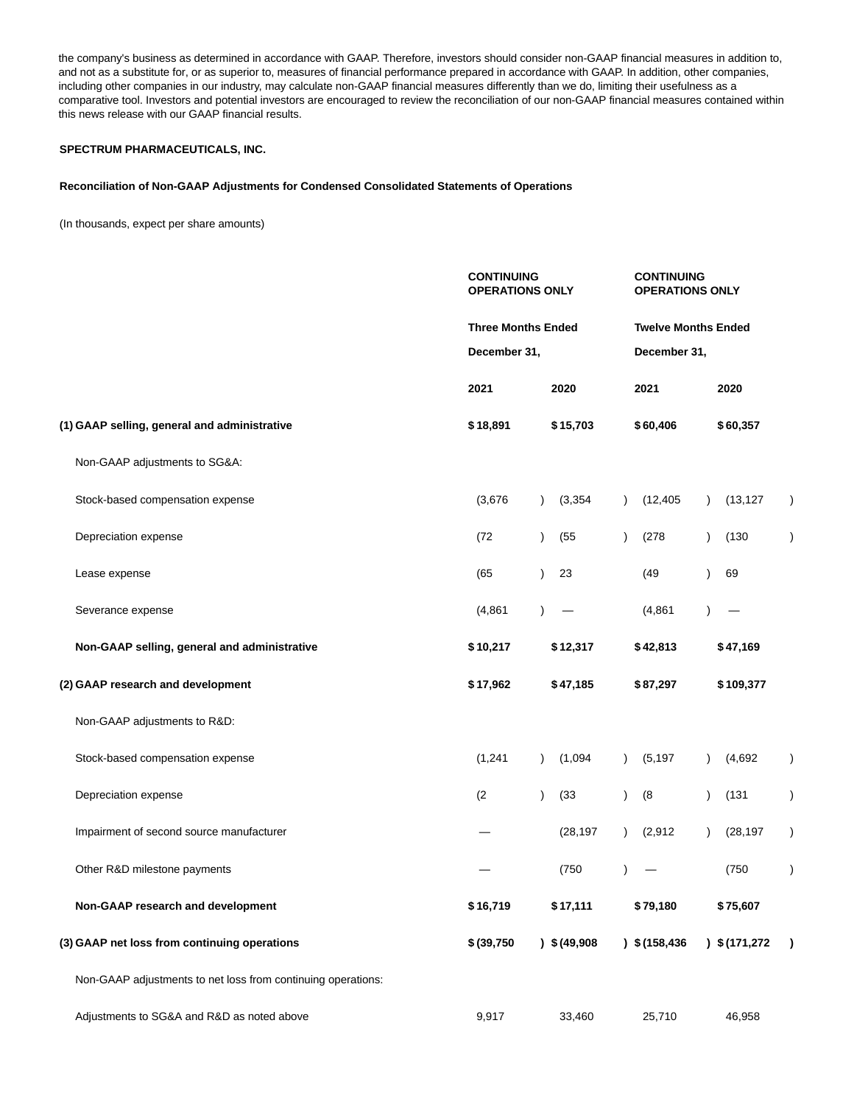the company's business as determined in accordance with GAAP. Therefore, investors should consider non-GAAP financial measures in addition to, and not as a substitute for, or as superior to, measures of financial performance prepared in accordance with GAAP. In addition, other companies, including other companies in our industry, may calculate non-GAAP financial measures differently than we do, limiting their usefulness as a comparative tool. Investors and potential investors are encouraged to review the reconciliation of our non-GAAP financial measures contained within this news release with our GAAP financial results.

# **SPECTRUM PHARMACEUTICALS, INC.**

# **Reconciliation of Non-GAAP Adjustments for Condensed Consolidated Statements of Operations**

(In thousands, expect per share amounts)

|                                                              | <b>CONTINUING</b><br><b>OPERATIONS ONLY</b> |                       | <b>CONTINUING</b><br><b>OPERATIONS ONLY</b> |                            |               |  |  |
|--------------------------------------------------------------|---------------------------------------------|-----------------------|---------------------------------------------|----------------------------|---------------|--|--|
|                                                              | <b>Three Months Ended</b>                   |                       |                                             | <b>Twelve Months Ended</b> |               |  |  |
|                                                              | December 31,                                |                       | December 31,                                |                            |               |  |  |
|                                                              | 2021                                        | 2020                  | 2021                                        | 2020                       |               |  |  |
| (1) GAAP selling, general and administrative                 | \$18,891                                    | \$15,703              | \$60,406                                    | \$60,357                   |               |  |  |
| Non-GAAP adjustments to SG&A:                                |                                             |                       |                                             |                            |               |  |  |
| Stock-based compensation expense                             | (3,676)                                     | (3, 354)<br>$\lambda$ | (12, 405)<br>$\lambda$                      | (13, 127)                  | $\lambda$     |  |  |
| Depreciation expense                                         | (72)                                        | (55)<br>$\mathcal{L}$ | (278)<br>$\lambda$                          | (130)<br>$\lambda$         | $\lambda$     |  |  |
| Lease expense                                                | (65)                                        | $\lambda$<br>23       | (49)                                        | 69<br>Ι                    |               |  |  |
| Severance expense                                            | (4, 861)                                    |                       | (4, 861)                                    |                            |               |  |  |
| Non-GAAP selling, general and administrative                 | \$10,217                                    | \$12,317              | \$42,813                                    | \$47,169                   |               |  |  |
| (2) GAAP research and development                            | \$17,962                                    | \$47,185              | \$87,297                                    | \$109,377                  |               |  |  |
| Non-GAAP adjustments to R&D:                                 |                                             |                       |                                             |                            |               |  |  |
| Stock-based compensation expense                             | (1, 241)                                    | (1,094)<br>$\lambda$  | (5, 197)<br>$\lambda$                       | (4,692)                    | $\mathcal{E}$ |  |  |
| Depreciation expense                                         | (2)                                         | (33)<br>$\lambda$     | (8)<br>$\lambda$                            | (131)                      | $\lambda$     |  |  |
| Impairment of second source manufacturer                     |                                             | (28, 197)             | (2, 912)<br>$\lambda$                       | (28, 197)                  | $\lambda$     |  |  |
| Other R&D milestone payments                                 |                                             | (750)                 |                                             | (750)                      | $\lambda$     |  |  |
| Non-GAAP research and development                            | \$16,719                                    | \$17,111              | \$79,180                                    | \$75,607                   |               |  |  |
| (3) GAAP net loss from continuing operations                 | \$ (39,750)                                 | $)$ \$ (49,908        | $)$ \$ (158,436                             | \$(171, 272)               | $\lambda$     |  |  |
| Non-GAAP adjustments to net loss from continuing operations: |                                             |                       |                                             |                            |               |  |  |
| Adjustments to SG&A and R&D as noted above                   | 9,917                                       | 33,460                | 25,710                                      | 46,958                     |               |  |  |